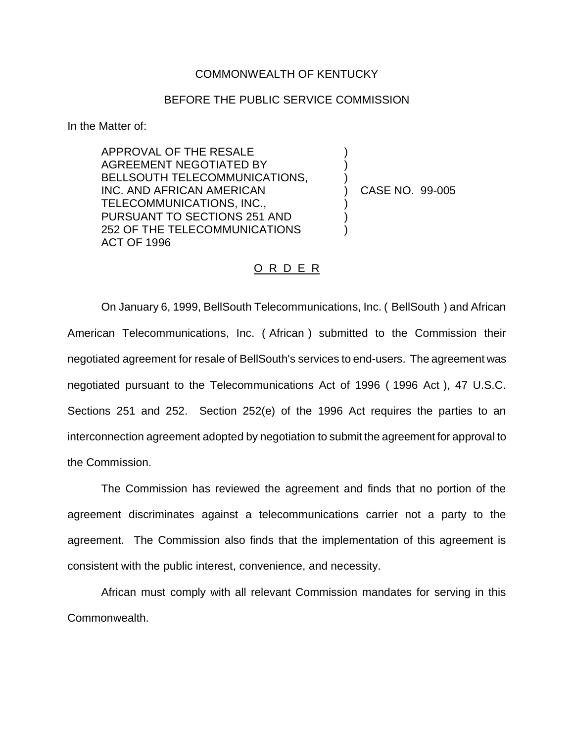## COMMONWEALTH OF KENTUCKY

## BEFORE THE PUBLIC SERVICE COMMISSION

) )

)<br>)

) ) )

In the Matter of:

APPROVAL OF THE RESALE AGREEMENT NEGOTIATED BY BELLSOUTH TELECOMMUNICATIONS, INC. AND AFRICAN AMERICAN TELECOMMUNICATIONS, INC., PURSUANT TO SECTIONS 251 AND 252 OF THE TELECOMMUNICATIONS ACT OF 1996

) CASE NO. 99-005

## O R D E R

On January 6, 1999, BellSouth Telecommunications, Inc. ( BellSouth ) and African American Telecommunications, Inc. ( African ) submitted to the Commission their negotiated agreement for resale of BellSouth's services to end-users. The agreement was negotiated pursuant to the Telecommunications Act of 1996 ( 1996 Act ), 47 U.S.C. Sections 251 and 252. Section 252(e) of the 1996 Act requires the parties to an interconnection agreement adopted by negotiation to submit the agreement for approval to the Commission.

The Commission has reviewed the agreement and finds that no portion of the agreement discriminates against a telecommunications carrier not a party to the agreement. The Commission also finds that the implementation of this agreement is consistent with the public interest, convenience, and necessity.

African must comply with all relevant Commission mandates for serving in this Commonwealth.